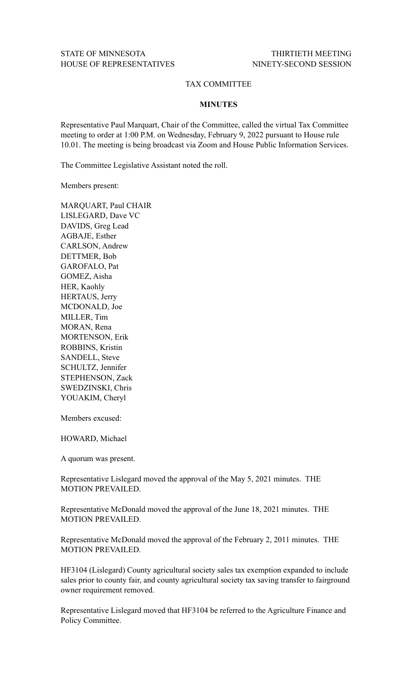## TAX COMMITTEE

## **MINUTES**

Representative Paul Marquart, Chair of the Committee, called the virtual Tax Committee meeting to order at 1:00 P.M. on Wednesday, February 9, 2022 pursuant to House rule 10.01. The meeting is being broadcast via Zoom and House Public Information Services.

The Committee Legislative Assistant noted the roll.

Members present:

MARQUART, Paul CHAIR LISLEGARD, Dave VC DAVIDS, Greg Lead AGBAJE, Esther CARLSON, Andrew DETTMER, Bob GAROFALO, Pat GOMEZ, Aisha HER, Kaohly HERTAUS, Jerry MCDONALD, Joe MILLER, Tim MORAN, Rena MORTENSON, Erik ROBBINS, Kristin SANDELL, Steve SCHULTZ, Jennifer STEPHENSON, Zack SWEDZINSKI, Chris YOUAKIM, Cheryl

Members excused:

HOWARD, Michael

A quorum was present.

Representative Lislegard moved the approval of the May 5, 2021 minutes. THE MOTION PREVAILED.

Representative McDonald moved the approval of the June 18, 2021 minutes. THE MOTION PREVAILED.

Representative McDonald moved the approval of the February 2, 2011 minutes. THE MOTION PREVAILED.

HF3104 (Lislegard) County agricultural society sales tax exemption expanded to include sales prior to county fair, and county agricultural society tax saving transfer to fairground owner requirement removed.

Representative Lislegard moved that HF3104 be referred to the Agriculture Finance and Policy Committee.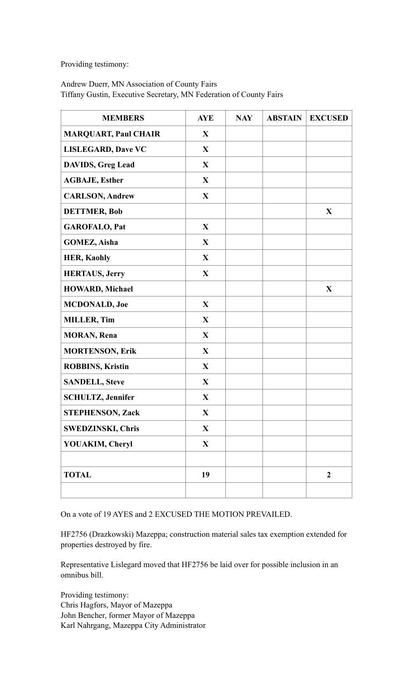Providing testimony:

## Andrew Duerr, MN Association of County Fairs Tiffany Gustin, Executive Secretary, MN Federation of County Fairs

| <b>MEMBERS</b>              | <b>AYE</b>   | <b>NAY</b> | <b>ABSTAIN</b> | <b>EXCUSED</b> |
|-----------------------------|--------------|------------|----------------|----------------|
| <b>MARQUART, Paul CHAIR</b> | $\mathbf{X}$ |            |                |                |
| <b>LISLEGARD, Dave VC</b>   | $\mathbf{X}$ |            |                |                |
| <b>DAVIDS, Greg Lead</b>    | $\mathbf{X}$ |            |                |                |
| <b>AGBAJE, Esther</b>       | $\mathbf{X}$ |            |                |                |
| <b>CARLSON, Andrew</b>      | $\mathbf{X}$ |            |                |                |
| <b>DETTMER, Bob</b>         |              |            |                | X              |
| <b>GAROFALO, Pat</b>        | $\mathbf{X}$ |            |                |                |
| <b>GOMEZ, Aisha</b>         | $\mathbf{X}$ |            |                |                |
| <b>HER, Kaohly</b>          | $\mathbf{X}$ |            |                |                |
| <b>HERTAUS, Jerry</b>       | $\mathbf{X}$ |            |                |                |
| <b>HOWARD, Michael</b>      |              |            |                | $\mathbf X$    |
| <b>MCDONALD, Joe</b>        | $\mathbf{X}$ |            |                |                |
| <b>MILLER, Tim</b>          | $\mathbf{X}$ |            |                |                |
| <b>MORAN</b> , Rena         | $\mathbf{X}$ |            |                |                |
| <b>MORTENSON, Erik</b>      | $\mathbf{X}$ |            |                |                |
| <b>ROBBINS, Kristin</b>     | $\mathbf{X}$ |            |                |                |
| <b>SANDELL, Steve</b>       | $\mathbf{X}$ |            |                |                |
| <b>SCHULTZ, Jennifer</b>    | $\mathbf{X}$ |            |                |                |
| <b>STEPHENSON, Zack</b>     | X            |            |                |                |
| <b>SWEDZINSKI, Chris</b>    | $\mathbf{X}$ |            |                |                |
| YOUAKIM, Cheryl             | $\mathbf{X}$ |            |                |                |
|                             |              |            |                |                |
| <b>TOTAL</b>                | 19           |            |                | $\overline{2}$ |
|                             |              |            |                |                |

On a vote of 19 AYES and 2 EXCUSED THE MOTION PREVAILED.

HF2756 (Drazkowski) Mazeppa; construction material sales tax exemption extended for properties destroyed by fire.

Representative Lislegard moved that HF2756 be laid over for possible inclusion in an omnibus bill.

Providing testimony: Chris Hagfors, Mayor of Mazeppa John Bencher, former Mayor of Mazeppa Karl Nahrgang, Mazeppa City Administrator